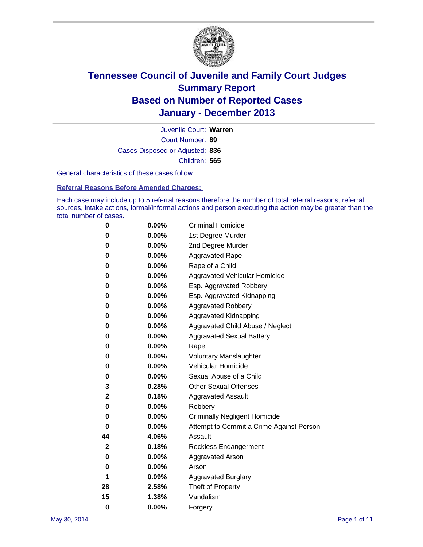

Court Number: **89** Juvenile Court: **Warren** Cases Disposed or Adjusted: **836** Children: **565**

General characteristics of these cases follow:

**Referral Reasons Before Amended Charges:** 

Each case may include up to 5 referral reasons therefore the number of total referral reasons, referral sources, intake actions, formal/informal actions and person executing the action may be greater than the total number of cases.

| 0           | $0.00\%$ | <b>Criminal Homicide</b>                 |
|-------------|----------|------------------------------------------|
| 0           | 0.00%    | 1st Degree Murder                        |
| 0           | 0.00%    | 2nd Degree Murder                        |
| 0           | $0.00\%$ | <b>Aggravated Rape</b>                   |
| 0           | 0.00%    | Rape of a Child                          |
| 0           | $0.00\%$ | <b>Aggravated Vehicular Homicide</b>     |
| 0           | 0.00%    | Esp. Aggravated Robbery                  |
| 0           | 0.00%    | Esp. Aggravated Kidnapping               |
| 0           | $0.00\%$ | <b>Aggravated Robbery</b>                |
| 0           | 0.00%    | Aggravated Kidnapping                    |
| 0           | 0.00%    | Aggravated Child Abuse / Neglect         |
| 0           | 0.00%    | <b>Aggravated Sexual Battery</b>         |
| 0           | 0.00%    | Rape                                     |
| 0           | 0.00%    | <b>Voluntary Manslaughter</b>            |
| 0           | 0.00%    | Vehicular Homicide                       |
| 0           | 0.00%    | Sexual Abuse of a Child                  |
| 3           | 0.28%    | <b>Other Sexual Offenses</b>             |
| 2           | 0.18%    | <b>Aggravated Assault</b>                |
| 0           | 0.00%    | Robbery                                  |
| 0           | 0.00%    | <b>Criminally Negligent Homicide</b>     |
| 0           | 0.00%    | Attempt to Commit a Crime Against Person |
| 44          | 4.06%    | Assault                                  |
| $\mathbf 2$ | 0.18%    | <b>Reckless Endangerment</b>             |
| 0           | 0.00%    | <b>Aggravated Arson</b>                  |
| 0           | 0.00%    | Arson                                    |
| 1           | 0.09%    | <b>Aggravated Burglary</b>               |
| 28          | 2.58%    | Theft of Property                        |
| 15          | 1.38%    | Vandalism                                |
| $\bf{0}$    | 0.00%    | Forgery                                  |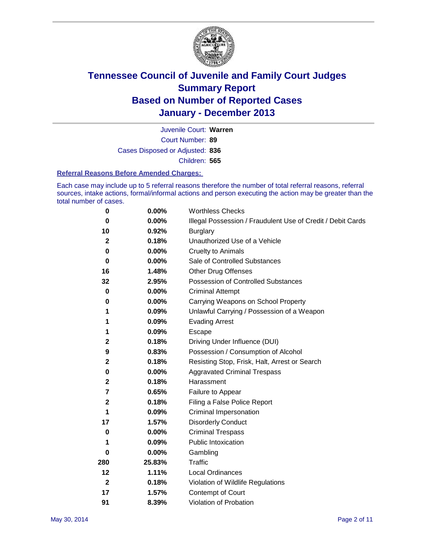

Court Number: **89** Juvenile Court: **Warren** Cases Disposed or Adjusted: **836** Children: **565**

#### **Referral Reasons Before Amended Charges:**

Each case may include up to 5 referral reasons therefore the number of total referral reasons, referral sources, intake actions, formal/informal actions and person executing the action may be greater than the total number of cases.

| 0            | 0.00%    | <b>Worthless Checks</b>                                     |
|--------------|----------|-------------------------------------------------------------|
| 0            | 0.00%    | Illegal Possession / Fraudulent Use of Credit / Debit Cards |
| 10           | 0.92%    | <b>Burglary</b>                                             |
| $\mathbf{2}$ | 0.18%    | Unauthorized Use of a Vehicle                               |
| 0            | 0.00%    | <b>Cruelty to Animals</b>                                   |
| 0            | $0.00\%$ | Sale of Controlled Substances                               |
| 16           | 1.48%    | <b>Other Drug Offenses</b>                                  |
| 32           | 2.95%    | <b>Possession of Controlled Substances</b>                  |
| 0            | $0.00\%$ | <b>Criminal Attempt</b>                                     |
| 0            | $0.00\%$ | Carrying Weapons on School Property                         |
| 1            | 0.09%    | Unlawful Carrying / Possession of a Weapon                  |
| 1            | 0.09%    | <b>Evading Arrest</b>                                       |
| 1            | 0.09%    | Escape                                                      |
| $\mathbf 2$  | 0.18%    | Driving Under Influence (DUI)                               |
| 9            | 0.83%    | Possession / Consumption of Alcohol                         |
| $\mathbf 2$  | 0.18%    | Resisting Stop, Frisk, Halt, Arrest or Search               |
| 0            | 0.00%    | <b>Aggravated Criminal Trespass</b>                         |
| $\mathbf 2$  | 0.18%    | Harassment                                                  |
| 7            | 0.65%    | Failure to Appear                                           |
| $\mathbf 2$  | 0.18%    | Filing a False Police Report                                |
| 1            | 0.09%    | Criminal Impersonation                                      |
| 17           | 1.57%    | <b>Disorderly Conduct</b>                                   |
| 0            | 0.00%    | <b>Criminal Trespass</b>                                    |
| 1            | 0.09%    | <b>Public Intoxication</b>                                  |
| 0            | $0.00\%$ | Gambling                                                    |
| 280          | 25.83%   | Traffic                                                     |
| 12           | 1.11%    | <b>Local Ordinances</b>                                     |
| $\mathbf{2}$ | 0.18%    | Violation of Wildlife Regulations                           |
| 17           | 1.57%    | Contempt of Court                                           |
| 91           | 8.39%    | Violation of Probation                                      |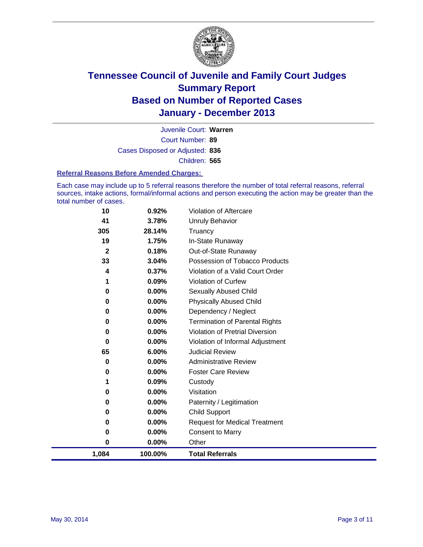

Court Number: **89** Juvenile Court: **Warren** Cases Disposed or Adjusted: **836** Children: **565**

#### **Referral Reasons Before Amended Charges:**

Each case may include up to 5 referral reasons therefore the number of total referral reasons, referral sources, intake actions, formal/informal actions and person executing the action may be greater than the total number of cases.

| 10           | 0.92%    | Violation of Aftercare                 |
|--------------|----------|----------------------------------------|
| 41           | 3.78%    | <b>Unruly Behavior</b>                 |
| 305          | 28.14%   | Truancy                                |
| 19           | 1.75%    | In-State Runaway                       |
| $\mathbf{2}$ | 0.18%    | Out-of-State Runaway                   |
| 33           | 3.04%    | Possession of Tobacco Products         |
| 4            | 0.37%    | Violation of a Valid Court Order       |
|              | 0.09%    | <b>Violation of Curfew</b>             |
| 0            | $0.00\%$ | Sexually Abused Child                  |
| 0            | $0.00\%$ | <b>Physically Abused Child</b>         |
| 0            | $0.00\%$ | Dependency / Neglect                   |
| 0            | $0.00\%$ | <b>Termination of Parental Rights</b>  |
| 0            | $0.00\%$ | <b>Violation of Pretrial Diversion</b> |
| 0            | $0.00\%$ | Violation of Informal Adjustment       |
| 65           | 6.00%    | <b>Judicial Review</b>                 |
| 0            | $0.00\%$ | <b>Administrative Review</b>           |
| 0            | $0.00\%$ | <b>Foster Care Review</b>              |
|              | $0.09\%$ | Custody                                |
| 0            | $0.00\%$ | Visitation                             |
| 0            | $0.00\%$ | Paternity / Legitimation               |
| 0            | 0.00%    | Child Support                          |
| 0            | 0.00%    | <b>Request for Medical Treatment</b>   |
| 0            | $0.00\%$ | <b>Consent to Marry</b>                |
| 0            | 0.00%    | Other                                  |
| 1,084        | 100.00%  | <b>Total Referrals</b>                 |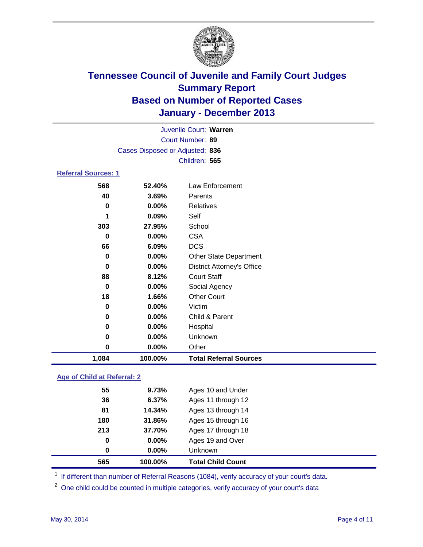

| Juvenile Court: Warren     |                                 |                                   |  |  |
|----------------------------|---------------------------------|-----------------------------------|--|--|
|                            | Court Number: 89                |                                   |  |  |
|                            | Cases Disposed or Adjusted: 836 |                                   |  |  |
|                            |                                 | Children: 565                     |  |  |
| <b>Referral Sources: 1</b> |                                 |                                   |  |  |
| 568                        | 52.40%                          | Law Enforcement                   |  |  |
| 40                         | 3.69%                           | Parents                           |  |  |
| 0                          | 0.00%                           | <b>Relatives</b>                  |  |  |
| 1                          | 0.09%                           | Self                              |  |  |
| School<br>303<br>27.95%    |                                 |                                   |  |  |
| 0                          | $0.00\%$                        | <b>CSA</b>                        |  |  |
| 66                         | 6.09%                           | <b>DCS</b>                        |  |  |
| 0                          | 0.00%                           | Other State Department            |  |  |
| 0                          | 0.00%                           | <b>District Attorney's Office</b> |  |  |
| 88                         | 8.12%                           | <b>Court Staff</b>                |  |  |
| 0                          | 0.00%                           | Social Agency                     |  |  |
| 18                         | 1.66%                           | <b>Other Court</b>                |  |  |
| 0                          | 0.00%                           | Victim                            |  |  |
| 0                          | 0.00%                           | Child & Parent                    |  |  |
| 0                          | $0.00\%$                        | Hospital                          |  |  |
| 0                          | 0.00%                           | Unknown                           |  |  |
| 0                          | $0.00\%$                        | Other                             |  |  |
| 1,084                      | 100.00%                         | <b>Total Referral Sources</b>     |  |  |

### **Age of Child at Referral: 2**

| 565 | 100.00%  | <b>Total Child Count</b> |
|-----|----------|--------------------------|
| 0   | $0.00\%$ | <b>Unknown</b>           |
| 0   | 0.00%    | Ages 19 and Over         |
| 213 | 37.70%   | Ages 17 through 18       |
| 180 | 31.86%   | Ages 15 through 16       |
| 81  | 14.34%   | Ages 13 through 14       |
| 36  | 6.37%    | Ages 11 through 12       |
| 55  | 9.73%    | Ages 10 and Under        |
|     |          |                          |

<sup>1</sup> If different than number of Referral Reasons (1084), verify accuracy of your court's data.

<sup>2</sup> One child could be counted in multiple categories, verify accuracy of your court's data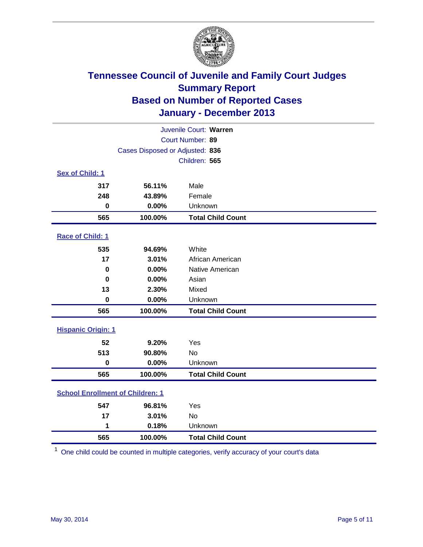

| Juvenile Court: Warren                  |                                 |                          |  |  |  |
|-----------------------------------------|---------------------------------|--------------------------|--|--|--|
| Court Number: 89                        |                                 |                          |  |  |  |
|                                         | Cases Disposed or Adjusted: 836 |                          |  |  |  |
|                                         |                                 | Children: 565            |  |  |  |
| Sex of Child: 1                         |                                 |                          |  |  |  |
| 317                                     | 56.11%                          | Male                     |  |  |  |
| 248                                     | 43.89%                          | Female                   |  |  |  |
| $\bf{0}$                                | 0.00%                           | Unknown                  |  |  |  |
| 565                                     | 100.00%                         | <b>Total Child Count</b> |  |  |  |
| Race of Child: 1                        |                                 |                          |  |  |  |
| 535                                     | 94.69%                          | White                    |  |  |  |
| 17                                      | 3.01%                           | African American         |  |  |  |
| $\bf{0}$                                | 0.00%                           | Native American          |  |  |  |
| 0                                       | 0.00%                           | Asian                    |  |  |  |
| 13                                      | 2.30%                           | Mixed                    |  |  |  |
| $\bf{0}$                                | 0.00%                           | Unknown                  |  |  |  |
| 565                                     | 100.00%                         | <b>Total Child Count</b> |  |  |  |
| <b>Hispanic Origin: 1</b>               |                                 |                          |  |  |  |
| 52                                      | 9.20%                           | Yes                      |  |  |  |
| 513                                     | 90.80%                          | No                       |  |  |  |
| $\pmb{0}$                               | 0.00%                           | Unknown                  |  |  |  |
| 565                                     | 100.00%                         | <b>Total Child Count</b> |  |  |  |
| <b>School Enrollment of Children: 1</b> |                                 |                          |  |  |  |
| 547                                     | 96.81%                          | Yes                      |  |  |  |
| 17                                      | 3.01%                           | <b>No</b>                |  |  |  |
| 1                                       | 0.18%                           | Unknown                  |  |  |  |
| 565                                     | 100.00%                         | <b>Total Child Count</b> |  |  |  |

One child could be counted in multiple categories, verify accuracy of your court's data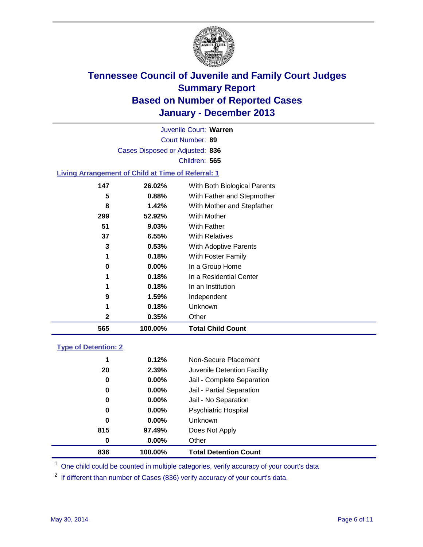

Court Number: **89** Juvenile Court: **Warren** Cases Disposed or Adjusted: **836** Children: **565**

#### **Living Arrangement of Child at Time of Referral: 1**

| 565 | 100.00%  | <b>Total Child Count</b>     |  |
|-----|----------|------------------------------|--|
| 2   | 0.35%    | Other                        |  |
| 1   | 0.18%    | Unknown                      |  |
| 9   | 1.59%    | Independent                  |  |
| 1   | 0.18%    | In an Institution            |  |
| 1   | 0.18%    | In a Residential Center      |  |
| 0   | $0.00\%$ | In a Group Home              |  |
| 1   | 0.18%    | With Foster Family           |  |
| 3   | 0.53%    | <b>With Adoptive Parents</b> |  |
| 37  | 6.55%    | <b>With Relatives</b>        |  |
| 51  | 9.03%    | With Father                  |  |
| 299 | 52.92%   | With Mother                  |  |
| 8   | 1.42%    | With Mother and Stepfather   |  |
| 5   | 0.88%    | With Father and Stepmother   |  |
| 147 | 26.02%   | With Both Biological Parents |  |
|     |          |                              |  |

#### **Type of Detention: 2**

| 836 | 100.00%  | <b>Total Detention Count</b> |  |
|-----|----------|------------------------------|--|
| 0   | $0.00\%$ | Other                        |  |
| 815 | 97.49%   | Does Not Apply               |  |
| 0   | $0.00\%$ | <b>Unknown</b>               |  |
| 0   | $0.00\%$ | <b>Psychiatric Hospital</b>  |  |
| 0   | 0.00%    | Jail - No Separation         |  |
| 0   | $0.00\%$ | Jail - Partial Separation    |  |
| 0   | 0.00%    | Jail - Complete Separation   |  |
| 20  | 2.39%    | Juvenile Detention Facility  |  |
| 1   | 0.12%    | Non-Secure Placement         |  |
|     |          |                              |  |

<sup>1</sup> One child could be counted in multiple categories, verify accuracy of your court's data

If different than number of Cases (836) verify accuracy of your court's data.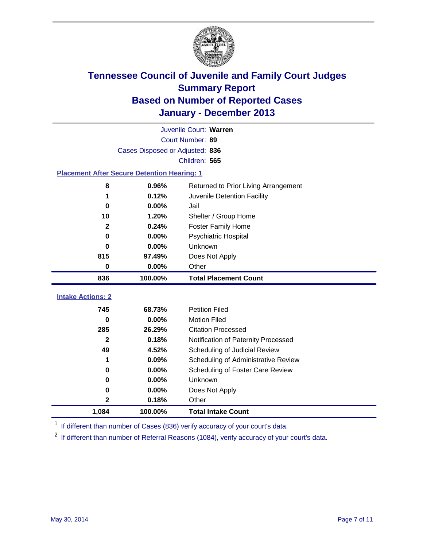

|                                                    | Juvenile Court: Warren          |                                      |  |  |  |  |  |
|----------------------------------------------------|---------------------------------|--------------------------------------|--|--|--|--|--|
|                                                    | Court Number: 89                |                                      |  |  |  |  |  |
|                                                    | Cases Disposed or Adjusted: 836 |                                      |  |  |  |  |  |
|                                                    | Children: 565                   |                                      |  |  |  |  |  |
| <b>Placement After Secure Detention Hearing: 1</b> |                                 |                                      |  |  |  |  |  |
| 8                                                  | 0.96%                           | Returned to Prior Living Arrangement |  |  |  |  |  |
| 1                                                  | 0.12%                           | Juvenile Detention Facility          |  |  |  |  |  |
| $\bf{0}$                                           | 0.00%                           | Jail                                 |  |  |  |  |  |
| 10                                                 | 1.20%                           | Shelter / Group Home                 |  |  |  |  |  |
| $\mathbf{2}$                                       | 0.24%                           | <b>Foster Family Home</b>            |  |  |  |  |  |
| 0                                                  | 0.00%                           | <b>Psychiatric Hospital</b>          |  |  |  |  |  |
| 0                                                  | 0.00%                           | Unknown                              |  |  |  |  |  |
| 815                                                | 97.49%                          | Does Not Apply                       |  |  |  |  |  |
| 0                                                  | 0.00%                           | Other                                |  |  |  |  |  |
| 836                                                | 100.00%                         | <b>Total Placement Count</b>         |  |  |  |  |  |
|                                                    |                                 |                                      |  |  |  |  |  |
| <b>Intake Actions: 2</b>                           |                                 |                                      |  |  |  |  |  |
| 745                                                | 68.73%                          | <b>Petition Filed</b>                |  |  |  |  |  |
| 0                                                  | 0.00%                           | <b>Motion Filed</b>                  |  |  |  |  |  |
| 285                                                | 26.29%                          | <b>Citation Processed</b>            |  |  |  |  |  |
| $\mathbf{2}$                                       | 0.18%                           | Notification of Paternity Processed  |  |  |  |  |  |
| 49                                                 | 4.52%                           | Scheduling of Judicial Review        |  |  |  |  |  |
| 1                                                  | 0.09%                           | Scheduling of Administrative Review  |  |  |  |  |  |
| 0                                                  | 0.00%                           | Scheduling of Foster Care Review     |  |  |  |  |  |
| 0                                                  | 0.00%                           | Unknown                              |  |  |  |  |  |
| 0                                                  | $0.00\%$                        | Does Not Apply                       |  |  |  |  |  |
| $\mathbf 2$                                        | 0.18%                           | Other                                |  |  |  |  |  |
| 1,084                                              | 100.00%                         | <b>Total Intake Count</b>            |  |  |  |  |  |

<sup>1</sup> If different than number of Cases (836) verify accuracy of your court's data.

<sup>2</sup> If different than number of Referral Reasons (1084), verify accuracy of your court's data.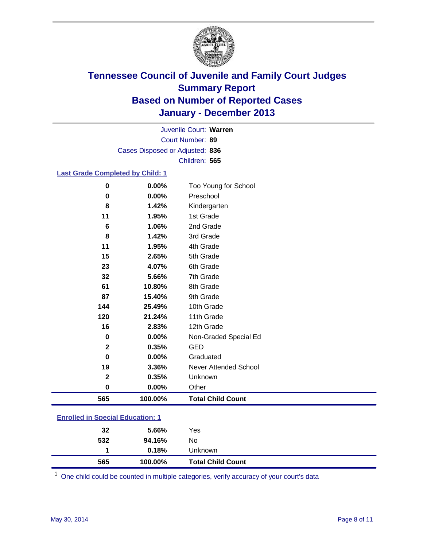

Court Number: **89** Juvenile Court: **Warren** Cases Disposed or Adjusted: **836** Children: **565**

#### **Last Grade Completed by Child: 1**

| 0                       | 0.00%   | Too Young for School     |
|-------------------------|---------|--------------------------|
| 0                       | 0.00%   | Preschool                |
| 8                       | 1.42%   | Kindergarten             |
| 11                      | 1.95%   | 1st Grade                |
| 6                       | 1.06%   | 2nd Grade                |
| 8                       | 1.42%   | 3rd Grade                |
| 11                      | 1.95%   | 4th Grade                |
| 15                      | 2.65%   | 5th Grade                |
| 23                      | 4.07%   | 6th Grade                |
| 32                      | 5.66%   | 7th Grade                |
| 61                      | 10.80%  | 8th Grade                |
| 87                      | 15.40%  | 9th Grade                |
| 144                     | 25.49%  | 10th Grade               |
| 120                     | 21.24%  | 11th Grade               |
| 16                      | 2.83%   | 12th Grade               |
| 0                       | 0.00%   | Non-Graded Special Ed    |
| $\mathbf{2}$            | 0.35%   | <b>GED</b>               |
| 0                       | 0.00%   | Graduated                |
| 19                      | 3.36%   | Never Attended School    |
| $\overline{\mathbf{2}}$ | 0.35%   | Unknown                  |
| $\bf{0}$                | 0.00%   | Other                    |
| 565                     | 100.00% | <b>Total Child Count</b> |

| <b>Enrolled in Special Education: 1</b> |
|-----------------------------------------|
|                                         |

| 565 | 100.00% | <b>Total Child Count</b> |
|-----|---------|--------------------------|
| 1   | 0.18%   | <b>Unknown</b>           |
| 532 | 94.16%  | No                       |
| 32  | 5.66%   | Yes                      |
|     |         |                          |

One child could be counted in multiple categories, verify accuracy of your court's data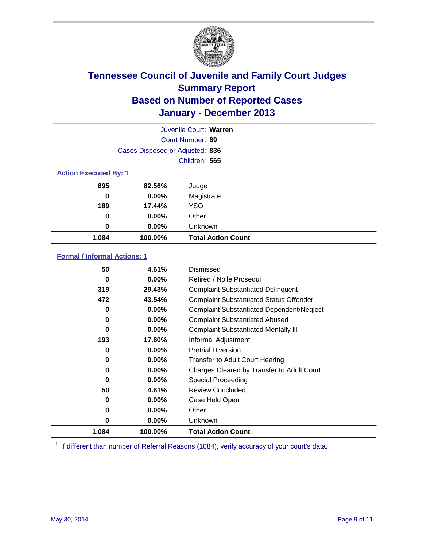

|                              |                                 | Juvenile Court: Warren    |
|------------------------------|---------------------------------|---------------------------|
|                              |                                 | Court Number: 89          |
|                              | Cases Disposed or Adjusted: 836 |                           |
|                              |                                 | Children: 565             |
| <b>Action Executed By: 1</b> |                                 |                           |
| 895                          | 82.56%                          | Judge                     |
| 0                            | $0.00\%$                        | Magistrate                |
| 189                          | 17.44%                          | <b>YSO</b>                |
| 0                            | 0.00%                           | Other                     |
| 0                            | 0.00%                           | Unknown                   |
| 1,084                        | 100.00%                         | <b>Total Action Count</b> |

### **Formal / Informal Actions: 1**

| 50       | 4.61%    | Dismissed                                        |
|----------|----------|--------------------------------------------------|
| 0        | $0.00\%$ | Retired / Nolle Prosequi                         |
| 319      | 29.43%   | <b>Complaint Substantiated Delinquent</b>        |
| 472      | 43.54%   | <b>Complaint Substantiated Status Offender</b>   |
| 0        | 0.00%    | <b>Complaint Substantiated Dependent/Neglect</b> |
| 0        | $0.00\%$ | <b>Complaint Substantiated Abused</b>            |
| 0        | $0.00\%$ | <b>Complaint Substantiated Mentally III</b>      |
| 193      | 17.80%   | Informal Adjustment                              |
| 0        | $0.00\%$ | <b>Pretrial Diversion</b>                        |
| 0        | $0.00\%$ | <b>Transfer to Adult Court Hearing</b>           |
| 0        | $0.00\%$ | Charges Cleared by Transfer to Adult Court       |
| $\bf{0}$ | $0.00\%$ | Special Proceeding                               |
| 50       | 4.61%    | <b>Review Concluded</b>                          |
| 0        | $0.00\%$ | Case Held Open                                   |
| 0        | $0.00\%$ | Other                                            |
| 0        | $0.00\%$ | Unknown                                          |
| 1,084    | 100.00%  | <b>Total Action Count</b>                        |

<sup>1</sup> If different than number of Referral Reasons (1084), verify accuracy of your court's data.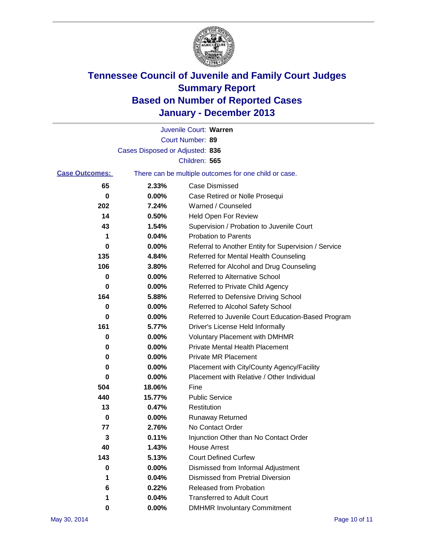

|                       |                                 | Juvenile Court: Warren                                |
|-----------------------|---------------------------------|-------------------------------------------------------|
|                       |                                 | Court Number: 89                                      |
|                       | Cases Disposed or Adjusted: 836 |                                                       |
|                       |                                 | Children: 565                                         |
| <b>Case Outcomes:</b> |                                 | There can be multiple outcomes for one child or case. |
| 65                    | 2.33%                           | Case Dismissed                                        |
| 0                     | 0.00%                           | Case Retired or Nolle Prosequi                        |
| 202                   | 7.24%                           | Warned / Counseled                                    |
| 14                    | 0.50%                           | <b>Held Open For Review</b>                           |
| 43                    | 1.54%                           | Supervision / Probation to Juvenile Court             |
| 1                     | 0.04%                           | <b>Probation to Parents</b>                           |
| 0                     | 0.00%                           | Referral to Another Entity for Supervision / Service  |
| 135                   | 4.84%                           | Referred for Mental Health Counseling                 |
| 106                   | 3.80%                           | Referred for Alcohol and Drug Counseling              |
| 0                     | $0.00\%$                        | <b>Referred to Alternative School</b>                 |
| 0                     | 0.00%                           | Referred to Private Child Agency                      |
| 164                   | 5.88%                           | Referred to Defensive Driving School                  |
| 0                     | 0.00%                           | Referred to Alcohol Safety School                     |
| 0                     | 0.00%                           | Referred to Juvenile Court Education-Based Program    |
| 161                   | 5.77%                           | Driver's License Held Informally                      |
| 0                     | 0.00%                           | <b>Voluntary Placement with DMHMR</b>                 |
| 0                     | 0.00%                           | <b>Private Mental Health Placement</b>                |
| 0                     | 0.00%                           | <b>Private MR Placement</b>                           |
| 0                     | 0.00%                           | Placement with City/County Agency/Facility            |
| 0                     | 0.00%                           | Placement with Relative / Other Individual            |
| 504                   | 18.06%                          | Fine                                                  |
| 440                   | 15.77%                          | <b>Public Service</b>                                 |
| 13                    | 0.47%                           | Restitution                                           |
| 0                     | 0.00%                           | <b>Runaway Returned</b>                               |
| 77                    | 2.76%                           | No Contact Order                                      |
| 3                     | 0.11%                           | Injunction Other than No Contact Order                |
| 40                    | 1.43%                           | <b>House Arrest</b>                                   |
| 143                   | 5.13%                           | <b>Court Defined Curfew</b>                           |
| 0                     | 0.00%                           | Dismissed from Informal Adjustment                    |
| 1                     | 0.04%                           | <b>Dismissed from Pretrial Diversion</b>              |
| 6                     | 0.22%                           | Released from Probation                               |
| 1                     | 0.04%                           | <b>Transferred to Adult Court</b>                     |
| 0                     | $0.00\%$                        | <b>DMHMR Involuntary Commitment</b>                   |